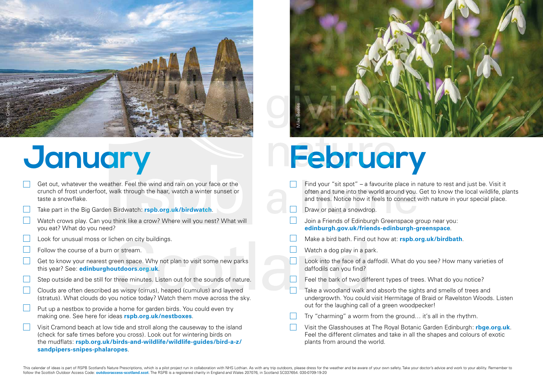

- Get out, whatever the weather. Feel the wind and rain on your face or the crunch of frost underfoot, walk through the haar, watch a winter sunset or taste a snowflake.
- Take part in the Big Garden Birdwatch: **[rspb.org.uk/birdwatch](http://www.rspb.org.uk/birdwatch)**.
- Watch crows play. Can you think like a crow? Where will you nest? What will you eat? What do you need?
- Look for unusual moss or lichen on city buildings.
- Follow the course of a burn or stream.
- Get to know your nearest green space. Why not plan to visit some new parks this year? See: **[edinburghoutdoors.org.uk](http://edinburghoutdoors.org.uk)**.
- Step outside and be still for three minutes. Listen out for the sounds of nature.
- Clouds are often described as wispy (cirrus), heaped (cumulus) and layered (stratus). What clouds do you notice today? Watch them move across the sky.
- Put up a nestbox to provide a home for garden birds. You could even try making one. See here for ideas **[rspb.org.uk/nestboxes](http://www.rspb.org.uk/nestboxes)**.
- Visit Cramond beach at low tide and stroll along the causeway to the island (check for safe times before you cross). Look out for wintering birds on the mudflats: **[rspb.org.uk/birds-and-wildlife/wildlife-guides/bird-a-z/](http://www.rspb.org.uk/birds-and-wildlife/wildlife-guides/bird-a-z/sandpipers-snipes-phalaropes) [sandpipers-snipes-phalaropes](http://www.rspb.org.uk/birds-and-wildlife/wildlife-guides/bird-a-z/sandpipers-snipes-phalaropes)**.



## January **February**

- Find your "sit spot" a favourite place in nature to rest and just be. Visit it often and tune into the world around you. Get to know the local wildlife, plants and trees. Notice how it feels to connect with nature in your special place.
- Draw or paint a snowdrop.
- Join a Friends of Edinburgh Greenspace group near you: **[edinburgh.gov.uk/friends-edinburgh-greenspace](http://edinburgh.gov.uk/friends-edinburgh-greenspace)**.
- Make a bird bath. Find out how at: **[rspb.org.uk/birdbath](http://www.rspb.org.uk/birdbath)**.
- Watch a dog play in a park.
- Look into the face of a daffodil. What do you see? How many varieties of daffodils can you find?
- Feel the bark of two different types of trees. What do you notice?
- Take a woodland walk and absorb the sights and smells of trees and undergrowth. You could visit Hermitage of Braid or Ravelston Woods. Listen out for the laughing call of a green woodpecker!
- Try "charming" a worm from the ground… it's all in the rhythm.
- Visit the Glasshouses at The Royal Botanic Garden Edinburgh: **[rbge.org.uk](http://www.rbge.org.uk)**. Feel the different climates and take in all the shapes and colours of exotic plants from around the world.

This calendar of ideas is part of RSPB Scotland's Nature Prescriptions, which is a pilot project run in collaboration with NHS Lothian. As with any trip outdoors, please dress for the weather and be aware of your own safet follow the Scottish Outdoor Access Code: **outdooraccess-scotland.scot**. The RSPB is a registered charity in England and Wales 207076, in Scotland SC037654. 030-0709-19-20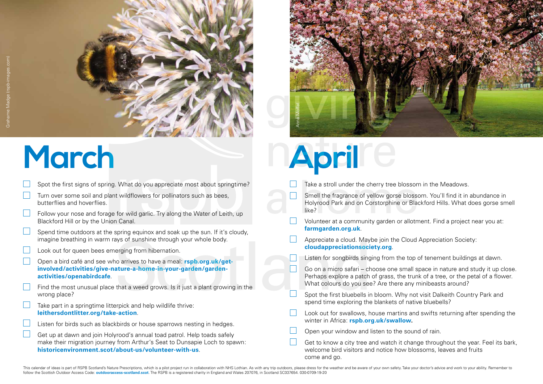

- Spot the first signs of spring. What do you appreciate most about springtime?
- Turn over some soil and plant wildflowers for pollinators such as bees, butterflies and hoverflies.
- Follow your nose and forage for wild garlic. Try along the Water of Leith, up Blackford Hill or by the Union Canal.
- Spend time outdoors at the spring equinox and soak up the sun. If it's cloudy, imagine breathing in warm rays of sunshine through your whole body.
- Look out for queen bees emerging from hibernation.
- Open a bird café and see who arrives to have a meal: **[rspb.org.uk/get](http://www.rspb.org.uk/get-involved/activities/give-nature-a-home-in-your-garden/garden-activities/openabirdcafe)[involved/activities/give-nature-a-home-in-your-garden/garden](http://www.rspb.org.uk/get-involved/activities/give-nature-a-home-in-your-garden/garden-activities/openabirdcafe)[activities/openabirdcafe](http://www.rspb.org.uk/get-involved/activities/give-nature-a-home-in-your-garden/garden-activities/openabirdcafe)**.
- Find the most unusual place that a weed grows. Is it just a plant growing in the wrong place?
- Take part in a springtime litterpick and help wildlife thrive: **[leithersdontlitter.org/take-action](http://www.leithersdontlitter.org/take-action)**.
- Listen for birds such as blackbirds or house sparrows nesting in hedges.
- Get up at dawn and join Holyrood's annual toad patrol. Help toads safely make their migration journey from Arthur's Seat to Dunsapie Loch to spawn: **[historicenvironment.scot/about-us/volunteer-with-us](http://www.historicenvironment.scot/about-us/volunteer-with-us)**.



## **March April**

- Take a stroll under the cherry tree blossom in the Meadows.
- Smell the fragrance of yellow gorse blossom. You'll find it in abundance in Holyrood Park and on Corstorphine or Blackford Hills. What does gorse smell like?
- Volunteer at a community garden or allotment. Find a project near you at: **[farmgarden.org.uk](http://farmgarden.org.uk)**.
- Appreciate a cloud. Maybe join the Cloud Appreciation Society: **[cloudappreciationsociety.org](http://cloudappreciationsociety.org)**.
	- Listen for songbirds singing from the top of tenement buildings at dawn.
- П Go on a micro safari – choose one small space in nature and study it up close. Perhaps explore a patch of grass, the trunk of a tree, or the petal of a flower. What colours do you see? Are there any minibeasts around?
	- Spot the first bluebells in bloom. Why not visit Dalkeith Country Park and spend time exploring the blankets of native bluebells?
- Look out for swallows, house martins and swifts returning after spending the winter in Africa: **[rspb.org.uk/swallow](http://www.rspb.org.uk/swallow).**
- Open your window and listen to the sound of rain.
- Get to know a city tree and watch it change throughout the year. Feel its bark, welcome bird visitors and notice how blossoms, leaves and fruits come and go.

This calendar of ideas is part of RSPB Scotland's Nature Prescriptions, which is a pilot project run in collaboration with NHS Lothian. As with any trip outdoors, please dress for the weather and be aware of your own safet follow the Scottish Outdoor Access Code: **outdooraccess-scotland.scot**. The RSPB is a registered charity in England and Wales 207076, in Scotland SC037654. 030-0709-19-20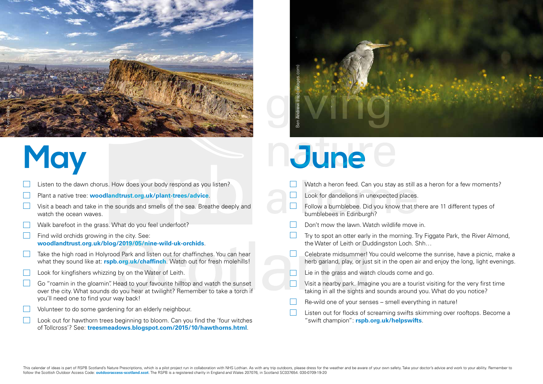

- Listen to the dawn chorus. How does your body respond as you listen?
- Plant a native tree: **[woodlandtrust.org.uk/plant-trees/advice](http://woodlandtrust.org.uk/plant-trees/advice)**.
- Visit a beach and take in the sounds and smells of the sea. Breathe deeply and watch the ocean waves.
- Walk barefoot in the grass. What do you feel underfoot?
- $\Box$ Find wild orchids growing in the city. See: **[woodlandtrust.org.uk/blog/2019/05/nine-wild-uk-orchids](http://woodlandtrust.org.uk/blog/2019/05/nine-wild-uk-orchids)**.
- Take the high road in Holyrood Park and listen out for chaffinches. You can hear what they sound like at: **[rspb.org.uk/chaffinch](http://www.rspb.org.uk/chaffinch)**. Watch out for fresh molehills!
- Look for kingfishers whizzing by on the Water of Leith.
- Go "roamin in the gloamin". Head to your favourite hilltop and watch the sunset over the city. What sounds do you hear at twilight? Remember to take a torch if you'll need one to find your way back!
- Volunteer to do some gardening for an elderly neighbour.
- Look out for hawthorn trees beginning to bloom. Can you find the 'four witches of Tollcross'? See: **[treesmeadows.blogspot.com/2015/10/hawthorns.html](http://treesmeadows.blogspot.com/2015/10/hawthorns.html)**.



### May **June**

- Watch a heron feed. Can you stay as still as a heron for a few moments?
- Look for dandelions in unexpected places.
- Follow a bumblebee. Did you know that there are 11 different types of bumblebees in Edinburgh?
- Don't mow the lawn. Watch wildlife move in.
- Try to spot an otter early in the morning. Try Figgate Park, the River Almond, the Water of Leith or Duddingston Loch. Shh…
- Celebrate midsummer! You could welcome the sunrise, have a picnic, make a herb garland, play, or just sit in the open air and enjoy the long, light evenings.
- Lie in the grass and watch clouds come and go.
- Visit a nearby park. Imagine you are a tourist visiting for the very first time taking in all the sights and sounds around you. What do you notice?
- Re-wild one of your senses smell everything in nature!
- Listen out for flocks of screaming swifts skimming over rooftops. Become a "swift champion": **[rspb.org.uk/helpswifts](http://www.rspb.org.uk/our-work/conservation/conservation-and-sustainability/safeguarding-species/help-us-help-swifts)**.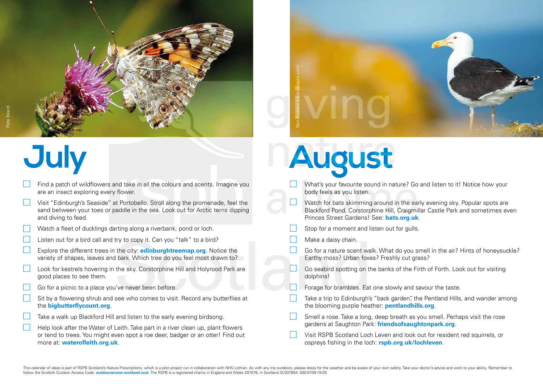

- Find a patch of wildflowers and take in all the colours and scents. Imagine you are an insect exploring every flower.
- Visit "Edinburgh's Seaside" at Portobello. Stroll along the promenade, feel the sand between your toes or paddle in the sea. Look out for Arctic terns dipping and diving to feed.
- Watch a fleet of ducklings darting along a riverbank, pond or loch.
- Listen out for a bird call and try to copy it. Can you "talk" to a bird?
- Explore the different trees in the city: **[edinburghtreemap.org](http://edinburghtreemap.org)**. Notice the variety of shapes, leaves and bark. Which tree do you feel most drawn to?
- Look for kestrels hovering in the sky. Corstorphine Hill and Holyrood Park are good places to see them.
- Go for a picnic to a place you've never been before.
- Sit by a flowering shrub and see who comes to visit. Record any butterflies at the **[bigbutterflycount.org](http://bigbutterflycount.org)**.
- Take a walk up Blackford Hill and listen to the early evening birdsong.
- Help look after the Water of Leith. Take part in a river clean up, plant flowers or tend to trees. You might even spot a roe deer, badger or an otter! Find out more at: **[waterofleith.org.uk](http://www.waterofleith.org.uk/)**.



# **July August**

- What's your favourite sound in nature? Go and listen to it! Notice how your body feels as you listen.
- $\Box$ Watch for bats skimming around in the early evening sky. Popular spots are Blackford Pond, Corstorphine Hill, Craigmillar Castle Park and sometimes even Princes Street Gardens! See: **[bats.org.uk](http://bats.org.uk)**.
- Stop for a moment and listen out for gulls.
- Make a daisy chain.
- Go for a nature scent walk. What do you smell in the air? Hints of honeysuckle? Earthy moss? Urban foxes? Freshly cut grass?
- Go seabird spotting on the banks of the Firth of Forth. Look out for visiting dolphins!
- Forage for brambles. Eat one slowly and savour the taste.
- Take a trip to Edinburgh's "back garden", the Pentland Hills, and wander among the blooming purple heather: **[pentlandhills.org](http://pentlandhills.org)**.
- Smell a rose. Take a long, deep breath as you smell. Perhaps visit the rose gardens at Saughton Park: **[friendsofsaughtonpark.org](http://friendsofsaughtonpark.org)**.
- Visit RSPB Scotland Loch Leven and look out for resident red squirrels, or ospreys fishing in the loch: **[rspb.org.uk/lochleven](http://www.rspb.org.uk/lochleven)**.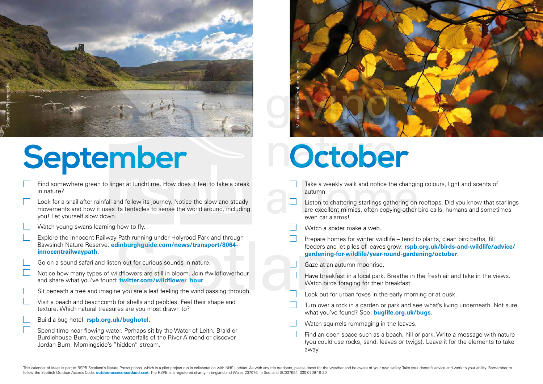

## September **October**

- Find somewhere green to linger at lunchtime. How does it feel to take a break in nature?
- Look for a snail after rainfall and follow its journey. Notice the slow and steady movements and how it uses its tentacles to sense the world around, including you! Let yourself slow down.
- Watch young swans learning how to fly.
- Explore the Innocent Railway Path running under Holyrood Park and through Bawsinch Nature Reserve: **[edinburghguide.com/news/transport/8064](http://edinburghguide.com/news/transport/8064-innocentrailwaypath) [innocentrailwaypath](http://edinburghguide.com/news/transport/8064-innocentrailwaypath)**.
- Go on a sound safari and listen out for curious sounds in nature.
- Notice how many types of wildflowers are still in bloom. Join #wildflowerhour and share what you've found: **[twitter.com/wildflower\\_hour](http://twitter.com/wildflower_hour)**
- Sit beneath a tree and imagine you are a leaf feeling the wind passing through.
- Visit a beach and beachcomb for shells and pebbles. Feel their shape and texture. Which natural treasures are you most drawn to?
- Build a bug hotel: **[rspb.org.uk/bughotel](http://www.rspb.org.uk/bughotel)**.
- Spend time near flowing water. Perhaps sit by the Water of Leith, Braid or Burdiehouse Burn, explore the waterfalls of the River Almond or discover Jordan Burn, Morningside's "hidden" stream.



- Take a weekly walk and notice the changing colours, light and scents of autumn.
- Listen to chattering starlings gathering on rooftops. Did you know that starlings are excellent mimics, often copying other bird calls, humans and sometimes even car alarms!
- Watch a spider make a web.
- Prepare homes for winter wildlife tend to plants, clean bird baths, fill feeders and let piles of leaves grow: **[rspb.org.uk/birds-and-wildlife/advice/](http://www.rspb.org.uk/birds-and-wildlife/advice/gardening-for-wildlife/year-round-gardening/october) [gardening-for-wildlife/year-round-gardening/october](http://www.rspb.org.uk/birds-and-wildlife/advice/gardening-for-wildlife/year-round-gardening/october)**.
- Gaze at an autumn moonrise.
- Have breakfast in a local park. Breathe in the fresh air and take in the views. Watch birds foraging for their breakfast.
- Look out for urban foxes in the early morning or at dusk.
- Turn over a rock in a garden or park and see what's living underneath. Not sure what you've found? See: **[buglife.org.uk/bugs](http://buglife.org.uk/bugs)**.
- Watch squirrels rummaging in the leaves.
- Find an open space such as a beach, hill or park. Write a message with nature (you could use rocks, sand, leaves or twigs). Leave it for the elements to take away.